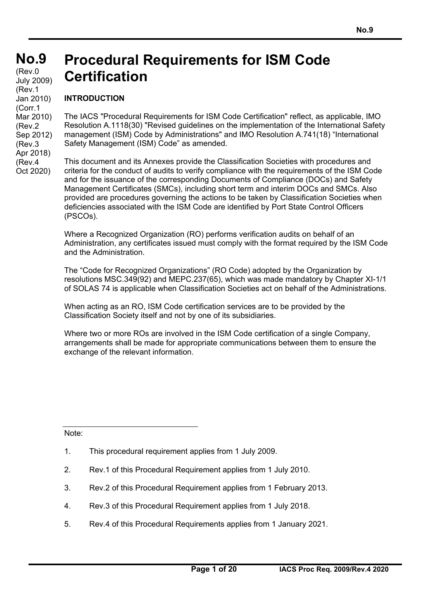#### **No.9 No.9**   $(Rev.0)$ **Procedural Requirements for ISM Code Certification**  July 2009) (Rev.1

## **INTRODUCTION**

Jan 2010) (Corr.1 Mar 2010) (Rev.2 Sep 2012) (Rev.3 Apr 2018) (Rev.4 Oct 2020)

The IACS "Procedural Requirements for ISM Code Certification" reflect, as applicable, IMO Resolution A.1118(30) "Revised guidelines on the implementation of the International Safety management (ISM) Code by Administrations" and IMO Resolution A.741(18) "International Safety Management (ISM) Code" as amended.

This document and its Annexes provide the Classification Societies with procedures and criteria for the conduct of audits to verify compliance with the requirements of the ISM Code and for the issuance of the corresponding Documents of Compliance (DOCs) and Safety Management Certificates (SMCs), including short term and interim DOCs and SMCs. Also provided are procedures governing the actions to be taken by Classification Societies when deficiencies associated with the ISM Code are identified by Port State Control Officers (PSCOs).

Where a Recognized Organization (RO) performs verification audits on behalf of an Administration, any certificates issued must comply with the format required by the ISM Code and the Administration.

The "Code for Recognized Organizations" (RO Code) adopted by the Organization by resolutions MSC.349(92) and MEPC.237(65), which was made mandatory by Chapter XI-1/1 of SOLAS 74 is applicable when Classification Societies act on behalf of the Administrations.

When acting as an RO, ISM Code certification services are to be provided by the Classification Society itself and not by one of its subsidiaries.

Where two or more ROs are involved in the ISM Code certification of a single Company, arrangements shall be made for appropriate communications between them to ensure the exchange of the relevant information.

Note:

- 2. Rev.1 of this Procedural Requirement applies from 1 July 2010.
- 3. Rev.2 of this Procedural Requirement applies from 1 February 2013.
- 4. Rev.3 of this Procedural Requirement applies from 1 July 2018.
- 5. Rev.4 of this Procedural Requirements applies from 1 January 2021.

<sup>1.</sup> This procedural requirement applies from 1 July 2009.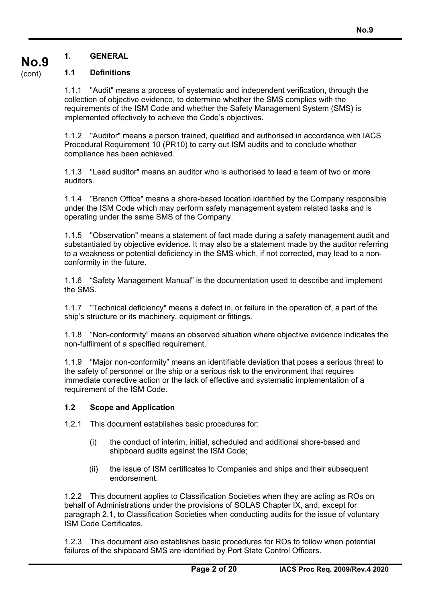## **1.1 Definitions**

1.1.1 "Audit" means a process of systematic and independent verification, through the collection of objective evidence, to determine whether the SMS complies with the requirements of the ISM Code and whether the Safety Management System (SMS) is implemented effectively to achieve the Code's objectives.

1.1.2 "Auditor" means a person trained, qualified and authorised in accordance with IACS Procedural Requirement 10 (PR10) to carry out ISM audits and to conclude whether compliance has been achieved.

1.1.3 "Lead auditor" means an auditor who is authorised to lead a team of two or more auditors.

1.1.4 "Branch Office" means a shore-based location identified by the Company responsible under the ISM Code which may perform safety management system related tasks and is operating under the same SMS of the Company.

1.1.5 "Observation" means a statement of fact made during a safety management audit and substantiated by objective evidence. It may also be a statement made by the auditor referring to a weakness or potential deficiency in the SMS which, if not corrected, may lead to a nonconformity in the future.

1.1.6 "Safety Management Manual" is the documentation used to describe and implement the SMS.

1.1.7 "Technical deficiency" means a defect in, or failure in the operation of, a part of the ship's structure or its machinery, equipment or fittings.

1.1.8 "Non-conformity" means an observed situation where objective evidence indicates the non-fulfilment of a specified requirement.

1.1.9 "Major non-conformity" means an identifiable deviation that poses a serious threat to the safety of personnel or the ship or a serious risk to the environment that requires immediate corrective action or the lack of effective and systematic implementation of a requirement of the ISM Code.

#### **1.2 Scope and Application**

1.2.1 This document establishes basic procedures for:

- (i) the conduct of interim, initial, scheduled and additional shore-based and shipboard audits against the ISM Code;
- (ii) the issue of ISM certificates to Companies and ships and their subsequent endorsement.

1.2.2 This document applies to Classification Societies when they are acting as ROs on behalf of Administrations under the provisions of SOLAS Chapter IX, and, except for paragraph 2.1, to Classification Societies when conducting audits for the issue of voluntary ISM Code Certificates.

1.2.3 This document also establishes basic procedures for ROs to follow when potential failures of the shipboard SMS are identified by Port State Control Officers.

**No.9**  (cont)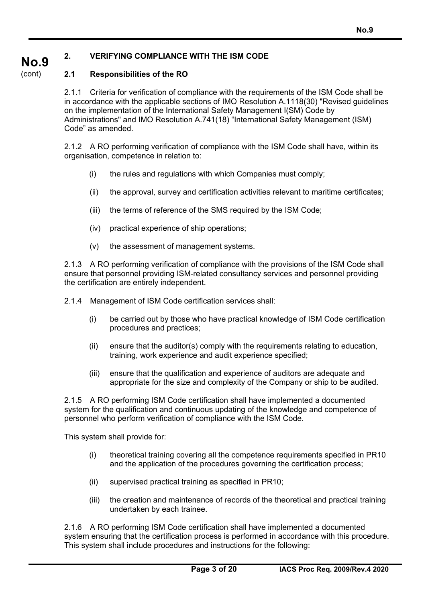#### **No.9 2. VERIFYING COMPLIANCE WITH THE ISM CODE**

#### (cont) **2.1 Responsibilities of the RO**

2.1.1 Criteria for verification of compliance with the requirements of the ISM Code shall be in accordance with the applicable sections of IMO Resolution A.1118(30) "Revised guidelines on the implementation of the International Safety Management I(SM) Code by Administrations" and IMO Resolution A.741(18) "International Safety Management (ISM) Code" as amended.

2.1.2 A RO performing verification of compliance with the ISM Code shall have, within its organisation, competence in relation to:

- (i) the rules and regulations with which Companies must comply;
- (ii) the approval, survey and certification activities relevant to maritime certificates;
- (iii) the terms of reference of the SMS required by the ISM Code;
- (iv) practical experience of ship operations;
- (v) the assessment of management systems.

2.1.3 A RO performing verification of compliance with the provisions of the ISM Code shall ensure that personnel providing ISM-related consultancy services and personnel providing the certification are entirely independent.

2.1.4 Management of ISM Code certification services shall:

- (i) be carried out by those who have practical knowledge of ISM Code certification procedures and practices;
- (ii) ensure that the auditor(s) comply with the requirements relating to education, training, work experience and audit experience specified;
- (iii) ensure that the qualification and experience of auditors are adequate and appropriate for the size and complexity of the Company or ship to be audited.

2.1.5 A RO performing ISM Code certification shall have implemented a documented system for the qualification and continuous updating of the knowledge and competence of personnel who perform verification of compliance with the ISM Code.

This system shall provide for:

- (i) theoretical training covering all the competence requirements specified in PR10 and the application of the procedures governing the certification process;
- (ii) supervised practical training as specified in PR10;
- (iii) the creation and maintenance of records of the theoretical and practical training undertaken by each trainee.

2.1.6 A RO performing ISM Code certification shall have implemented a documented system ensuring that the certification process is performed in accordance with this procedure. This system shall include procedures and instructions for the following: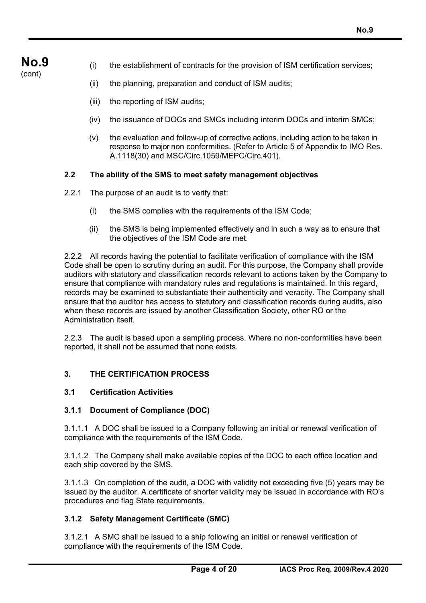- (cont)
- (i) the establishment of contracts for the provision of ISM certification services;
- (ii) the planning, preparation and conduct of ISM audits;
- (iii) the reporting of ISM audits;
- (iv) the issuance of DOCs and SMCs including interim DOCs and interim SMCs;
- (v) the evaluation and follow-up of corrective actions, including action to be taken in response to major non conformities. (Refer to Article 5 of Appendix to IMO Res. A.1118(30) and MSC/Circ.1059/MEPC/Circ.401).

## **2.2 The ability of the SMS to meet safety management objectives**

- 2.2.1 The purpose of an audit is to verify that:
	- (i) the SMS complies with the requirements of the ISM Code;
	- (ii) the SMS is being implemented effectively and in such a way as to ensure that the objectives of the ISM Code are met.

2.2.2 All records having the potential to facilitate verification of compliance with the ISM Code shall be open to scrutiny during an audit. For this purpose, the Company shall provide auditors with statutory and classification records relevant to actions taken by the Company to ensure that compliance with mandatory rules and regulations is maintained. In this regard, records may be examined to substantiate their authenticity and veracity. The Company shall ensure that the auditor has access to statutory and classification records during audits, also when these records are issued by another Classification Society, other RO or the Administration itself.

2.2.3 The audit is based upon a sampling process. Where no non-conformities have been reported, it shall not be assumed that none exists.

## **3. THE CERTIFICATION PROCESS**

## **3.1 Certification Activities**

## **3.1.1 Document of Compliance (DOC)**

3.1.1.1 A DOC shall be issued to a Company following an initial or renewal verification of compliance with the requirements of the ISM Code.

3.1.1.2 The Company shall make available copies of the DOC to each office location and each ship covered by the SMS.

3.1.1.3 On completion of the audit, a DOC with validity not exceeding five (5) years may be issued by the auditor. A certificate of shorter validity may be issued in accordance with RO's procedures and flag State requirements.

## **3.1.2 Safety Management Certificate (SMC)**

3.1.2.1 A SMC shall be issued to a ship following an initial or renewal verification of compliance with the requirements of the ISM Code.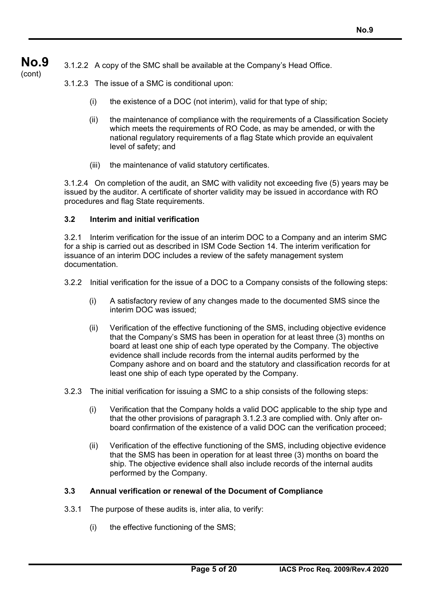**No.9**  (cont) 3.1.2.2 A copy of the SMC shall be available at the Company's Head Office.

- 3.1.2.3 The issue of a SMC is conditional upon:
	- (i) the existence of a DOC (not interim), valid for that type of ship;
	- (ii) the maintenance of compliance with the requirements of a Classification Society which meets the requirements of RO Code, as may be amended, or with the national regulatory requirements of a flag State which provide an equivalent level of safety; and
	- (iii) the maintenance of valid statutory certificates.

3.1.2.4 On completion of the audit, an SMC with validity not exceeding five (5) years may be issued by the auditor. A certificate of shorter validity may be issued in accordance with RO procedures and flag State requirements.

## **3.2 Interim and initial verification**

3.2.1 Interim verification for the issue of an interim DOC to a Company and an interim SMC for a ship is carried out as described in ISM Code Section 14. The interim verification for issuance of an interim DOC includes a review of the safety management system documentation.

- 3.2.2 Initial verification for the issue of a DOC to a Company consists of the following steps:
	- (i) A satisfactory review of any changes made to the documented SMS since the interim DOC was issued;
	- (ii) Verification of the effective functioning of the SMS, including objective evidence that the Company's SMS has been in operation for at least three (3) months on board at least one ship of each type operated by the Company. The objective evidence shall include records from the internal audits performed by the Company ashore and on board and the statutory and classification records for at least one ship of each type operated by the Company.
- 3.2.3 The initial verification for issuing a SMC to a ship consists of the following steps:
	- (i) Verification that the Company holds a valid DOC applicable to the ship type and that the other provisions of paragraph 3.1.2.3 are complied with. Only after onboard confirmation of the existence of a valid DOC can the verification proceed;
	- (ii) Verification of the effective functioning of the SMS, including objective evidence that the SMS has been in operation for at least three (3) months on board the ship. The objective evidence shall also include records of the internal audits performed by the Company.

#### **3.3 Annual verification or renewal of the Document of Compliance**

- 3.3.1 The purpose of these audits is, inter alia, to verify:
	- (i) the effective functioning of the SMS;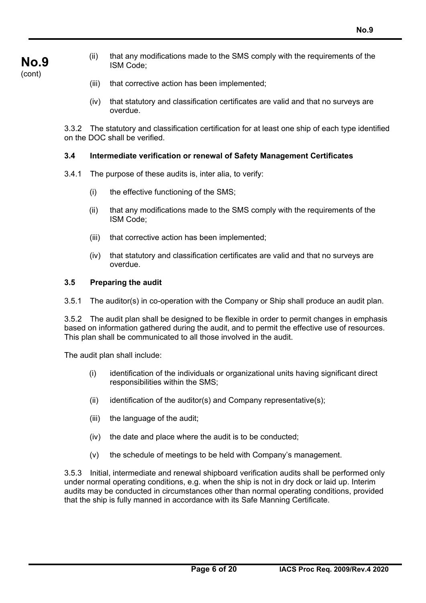- **No.9**  (cont)
- (ii) that any modifications made to the SMS comply with the requirements of the ISM Code;
- (iii) that corrective action has been implemented;
- (iv) that statutory and classification certificates are valid and that no surveys are overdue.

3.3.2 The statutory and classification certification for at least one ship of each type identified on the DOC shall be verified.

#### **3.4 Intermediate verification or renewal of Safety Management Certificates**

- 3.4.1 The purpose of these audits is, inter alia, to verify:
	- (i) the effective functioning of the SMS;
	- (ii) that any modifications made to the SMS comply with the requirements of the ISM Code;
	- (iii) that corrective action has been implemented;
	- (iv) that statutory and classification certificates are valid and that no surveys are overdue.

## **3.5 Preparing the audit**

3.5.1 The auditor(s) in co-operation with the Company or Ship shall produce an audit plan.

3.5.2 The audit plan shall be designed to be flexible in order to permit changes in emphasis based on information gathered during the audit, and to permit the effective use of resources. This plan shall be communicated to all those involved in the audit.

The audit plan shall include:

- (i) identification of the individuals or organizational units having significant direct responsibilities within the SMS;
- (ii) identification of the auditor(s) and Company representative(s);
- (iii) the language of the audit;
- (iv) the date and place where the audit is to be conducted;
- (v) the schedule of meetings to be held with Company's management.

3.5.3 Initial, intermediate and renewal shipboard verification audits shall be performed only under normal operating conditions, e.g. when the ship is not in dry dock or laid up. Interim audits may be conducted in circumstances other than normal operating conditions, provided that the ship is fully manned in accordance with its Safe Manning Certificate.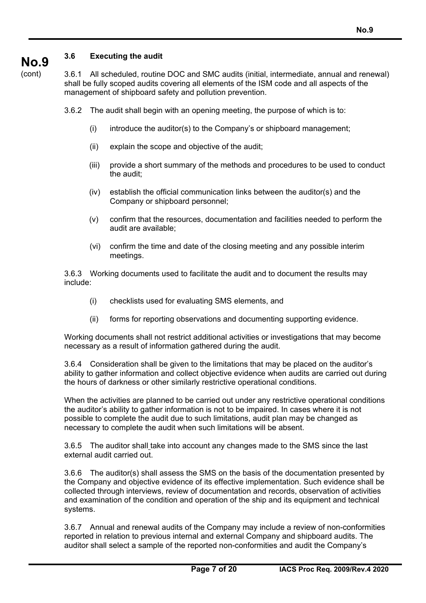## **3.6 Executing the audit**

(cont)

**No.9** 

3.6.1 All scheduled, routine DOC and SMC audits (initial, intermediate, annual and renewal) shall be fully scoped audits covering all elements of the ISM code and all aspects of the management of shipboard safety and pollution prevention.

3.6.2 The audit shall begin with an opening meeting, the purpose of which is to:

- (i) introduce the auditor(s) to the Company's or shipboard management;
- (ii) explain the scope and objective of the audit;
- (iii) provide a short summary of the methods and procedures to be used to conduct the audit;
- (iv) establish the official communication links between the auditor(s) and the Company or shipboard personnel;
- (v) confirm that the resources, documentation and facilities needed to perform the audit are available;
- (vi) confirm the time and date of the closing meeting and any possible interim meetings.

3.6.3 Working documents used to facilitate the audit and to document the results may include:

- (i) checklists used for evaluating SMS elements, and
- (ii) forms for reporting observations and documenting supporting evidence.

Working documents shall not restrict additional activities or investigations that may become necessary as a result of information gathered during the audit.

3.6.4 Consideration shall be given to the limitations that may be placed on the auditor's ability to gather information and collect objective evidence when audits are carried out during the hours of darkness or other similarly restrictive operational conditions.

When the activities are planned to be carried out under any restrictive operational conditions the auditor's ability to gather information is not to be impaired. In cases where it is not possible to complete the audit due to such limitations, audit plan may be changed as necessary to complete the audit when such limitations will be absent.

3.6.5 The auditor shall take into account any changes made to the SMS since the last external audit carried out.

3.6.6 The auditor(s) shall assess the SMS on the basis of the documentation presented by the Company and objective evidence of its effective implementation. Such evidence shall be collected through interviews, review of documentation and records, observation of activities and examination of the condition and operation of the ship and its equipment and technical systems.

3.6.7 Annual and renewal audits of the Company may include a review of non-conformities reported in relation to previous internal and external Company and shipboard audits. The auditor shall select a sample of the reported non-conformities and audit the Company's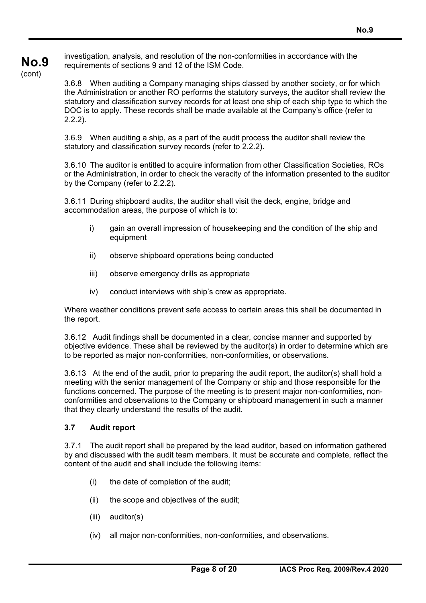**No.9**  (cont) requirements of sections 9 and 12 of the ISM Code.

3.6.8 When auditing a Company managing ships classed by another society, or for which the Administration or another RO performs the statutory surveys, the auditor shall review the statutory and classification survey records for at least one ship of each ship type to which the DOC is to apply. These records shall be made available at the Company's office (refer to 2.2.2).

3.6.9 When auditing a ship, as a part of the audit process the auditor shall review the statutory and classification survey records (refer to 2.2.2).

3.6.10 The auditor is entitled to acquire information from other Classification Societies, ROs or the Administration, in order to check the veracity of the information presented to the auditor by the Company (refer to 2.2.2).

3.6.11 During shipboard audits, the auditor shall visit the deck, engine, bridge and accommodation areas, the purpose of which is to:

- i) gain an overall impression of housekeeping and the condition of the ship and equipment
- ii) observe shipboard operations being conducted
- iii) observe emergency drills as appropriate
- iv) conduct interviews with ship's crew as appropriate.

Where weather conditions prevent safe access to certain areas this shall be documented in the report.

3.6.12 Audit findings shall be documented in a clear, concise manner and supported by objective evidence. These shall be reviewed by the auditor(s) in order to determine which are to be reported as major non-conformities, non-conformities, or observations.

3.6.13 At the end of the audit, prior to preparing the audit report, the auditor(s) shall hold a meeting with the senior management of the Company or ship and those responsible for the functions concerned. The purpose of the meeting is to present major non-conformities, nonconformities and observations to the Company or shipboard management in such a manner that they clearly understand the results of the audit.

## **3.7 Audit report**

3.7.1 The audit report shall be prepared by the lead auditor, based on information gathered by and discussed with the audit team members. It must be accurate and complete, reflect the content of the audit and shall include the following items:

- (i) the date of completion of the audit;
- (ii) the scope and objectives of the audit;
- (iii) auditor(s)
- (iv) all major non-conformities, non-conformities, and observations.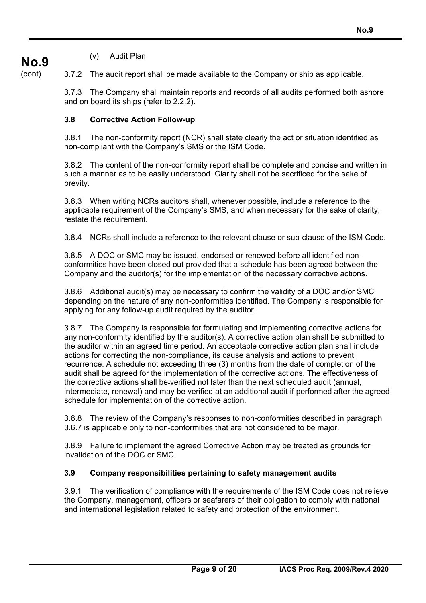## (v) Audit Plan

**No.9** 

(cont)

3.7.2 The audit report shall be made available to the Company or ship as applicable.

3.7.3 The Company shall maintain reports and records of all audits performed both ashore and on board its ships (refer to 2.2.2).

## **3.8 Corrective Action Follow-up**

3.8.1 The non-conformity report (NCR) shall state clearly the act or situation identified as non-compliant with the Company's SMS or the ISM Code.

3.8.2 The content of the non-conformity report shall be complete and concise and written in such a manner as to be easily understood. Clarity shall not be sacrificed for the sake of brevity.

3.8.3 When writing NCRs auditors shall, whenever possible, include a reference to the applicable requirement of the Company's SMS, and when necessary for the sake of clarity, restate the requirement.

3.8.4 NCRs shall include a reference to the relevant clause or sub-clause of the ISM Code.

3.8.5 A DOC or SMC may be issued, endorsed or renewed before all identified nonconformities have been closed out provided that a schedule has been agreed between the Company and the auditor(s) for the implementation of the necessary corrective actions.

3.8.6 Additional audit(s) may be necessary to confirm the validity of a DOC and/or SMC depending on the nature of any non-conformities identified. The Company is responsible for applying for any follow-up audit required by the auditor.

3.8.7 The Company is responsible for formulating and implementing corrective actions for any non-conformity identified by the auditor(s). A corrective action plan shall be submitted to the auditor within an agreed time period. An acceptable corrective action plan shall include actions for correcting the non-compliance, its cause analysis and actions to prevent recurrence. A schedule not exceeding three (3) months from the date of completion of the audit shall be agreed for the implementation of the corrective actions. The effectiveness of the corrective actions shall be verified not later than the next scheduled audit (annual, intermediate, renewal) and may be verified at an additional audit if performed after the agreed schedule for implementation of the corrective action.

3.8.8 The review of the Company's responses to non-conformities described in paragraph 3.6.7 is applicable only to non-conformities that are not considered to be major.

3.8.9 Failure to implement the agreed Corrective Action may be treated as grounds for invalidation of the DOC or SMC.

#### **3.9 Company responsibilities pertaining to safety management audits**

3.9.1 The verification of compliance with the requirements of the ISM Code does not relieve the Company, management, officers or seafarers of their obligation to comply with national and international legislation related to safety and protection of the environment.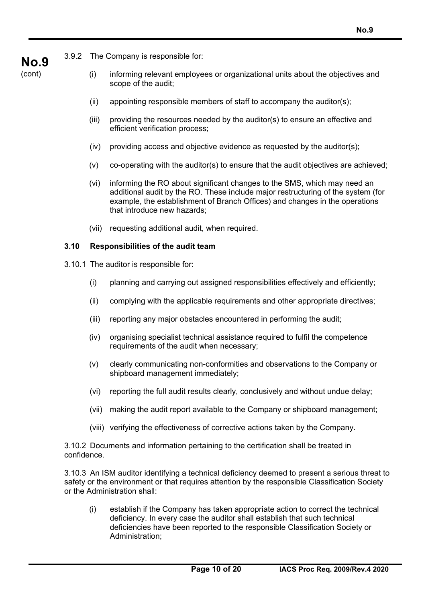3.9.2 The Company is responsible for:

**No.9**  (cont)

- (i) informing relevant employees or organizational units about the objectives and scope of the audit;
- (ii) appointing responsible members of staff to accompany the auditor(s);
- (iii) providing the resources needed by the auditor(s) to ensure an effective and efficient verification process;
- $(iv)$  providing access and objective evidence as requested by the auditor(s);
- $(v)$  co-operating with the auditor(s) to ensure that the audit objectives are achieved;
- (vi) informing the RO about significant changes to the SMS, which may need an additional audit by the RO. These include major restructuring of the system (for example, the establishment of Branch Offices) and changes in the operations that introduce new hazards;
- (vii) requesting additional audit, when required.

## **3.10 Responsibilities of the audit team**

- 3.10.1 The auditor is responsible for:
	- (i) planning and carrying out assigned responsibilities effectively and efficiently;
	- (ii) complying with the applicable requirements and other appropriate directives;
	- (iii) reporting any major obstacles encountered in performing the audit;
	- (iv) organising specialist technical assistance required to fulfil the competence requirements of the audit when necessary;
	- (v) clearly communicating non-conformities and observations to the Company or shipboard management immediately;
	- (vi) reporting the full audit results clearly, conclusively and without undue delay;
	- (vii) making the audit report available to the Company or shipboard management;
	- (viii) verifying the effectiveness of corrective actions taken by the Company.

3.10.2 Documents and information pertaining to the certification shall be treated in confidence.

3.10.3 An ISM auditor identifying a technical deficiency deemed to present a serious threat to safety or the environment or that requires attention by the responsible Classification Society or the Administration shall:

(i) establish if the Company has taken appropriate action to correct the technical deficiency. In every case the auditor shall establish that such technical deficiencies have been reported to the responsible Classification Society or Administration;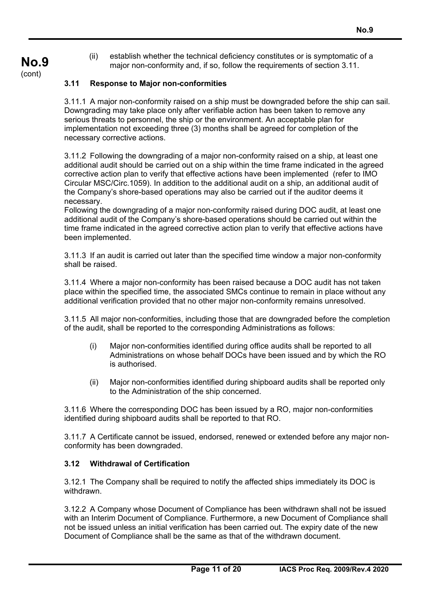(ii) establish whether the technical deficiency constitutes or is symptomatic of a major non-conformity and, if so, follow the requirements of section 3.11.

## **3.11 Response to Major non-conformities**

**No.9**  (cont)

> 3.11.1 A major non-conformity raised on a ship must be downgraded before the ship can sail. Downgrading may take place only after verifiable action has been taken to remove any serious threats to personnel, the ship or the environment. An acceptable plan for implementation not exceeding three (3) months shall be agreed for completion of the necessary corrective actions.

3.11.2 Following the downgrading of a major non-conformity raised on a ship, at least one additional audit should be carried out on a ship within the time frame indicated in the agreed corrective action plan to verify that effective actions have been implemented (refer to IMO Circular MSC/Circ.1059). In addition to the additional audit on a ship, an additional audit of the Company's shore-based operations may also be carried out if the auditor deems it necessary.

Following the downgrading of a major non-conformity raised during DOC audit, at least one additional audit of the Company's shore-based operations should be carried out within the time frame indicated in the agreed corrective action plan to verify that effective actions have been implemented.

3.11.3 If an audit is carried out later than the specified time window a major non-conformity shall be raised.

3.11.4 Where a major non-conformity has been raised because a DOC audit has not taken place within the specified time, the associated SMCs continue to remain in place without any additional verification provided that no other major non-conformity remains unresolved.

3.11.5 All major non-conformities, including those that are downgraded before the completion of the audit, shall be reported to the corresponding Administrations as follows:

- (i) Major non-conformities identified during office audits shall be reported to all Administrations on whose behalf DOCs have been issued and by which the RO is authorised.
- (ii) Major non-conformities identified during shipboard audits shall be reported only to the Administration of the ship concerned.

3.11.6 Where the corresponding DOC has been issued by a RO, major non-conformities identified during shipboard audits shall be reported to that RO.

3.11.7 A Certificate cannot be issued, endorsed, renewed or extended before any major nonconformity has been downgraded.

#### **3.12 Withdrawal of Certification**

3.12.1 The Company shall be required to notify the affected ships immediately its DOC is withdrawn.

3.12.2 A Company whose Document of Compliance has been withdrawn shall not be issued with an Interim Document of Compliance. Furthermore, a new Document of Compliance shall not be issued unless an initial verification has been carried out. The expiry date of the new Document of Compliance shall be the same as that of the withdrawn document.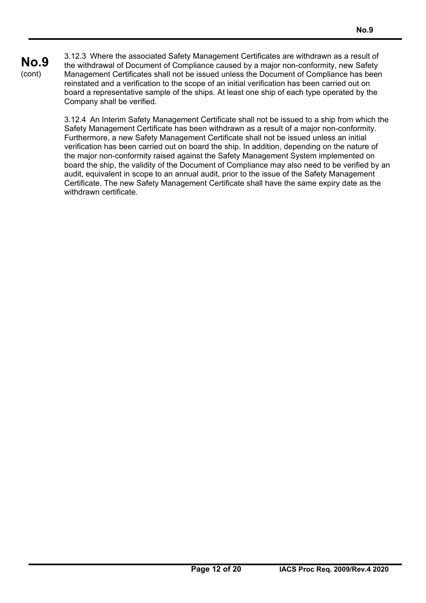# **No.9**

(cont)

3.12.3 Where the associated Safety Management Certificates are withdrawn as a result of the withdrawal of Document of Compliance caused by a major non-conformity, new Safety Management Certificates shall not be issued unless the Document of Compliance has been reinstated and a verification to the scope of an initial verification has been carried out on board a representative sample of the ships. At least one ship of each type operated by the Company shall be verified.

3.12.4 An Interim Safety Management Certificate shall not be issued to a ship from which the Safety Management Certificate has been withdrawn as a result of a major non-conformity. Furthermore, a new Safety Management Certificate shall not be issued unless an initial verification has been carried out on board the ship. In addition, depending on the nature of the major non-conformity raised against the Safety Management System implemented on board the ship, the validity of the Document of Compliance may also need to be verified by an audit, equivalent in scope to an annual audit, prior to the issue of the Safety Management Certificate. The new Safety Management Certificate shall have the same expiry date as the withdrawn certificate.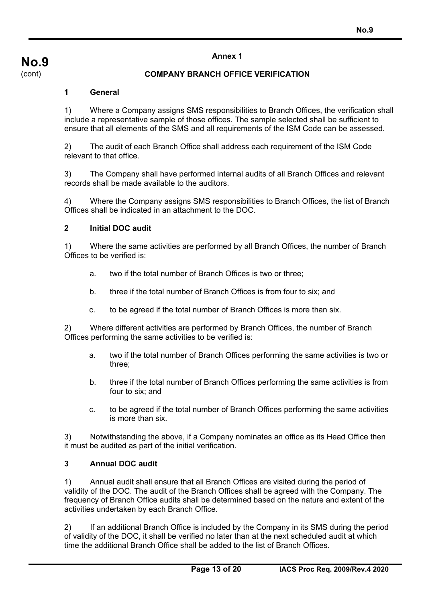**No.9**  (cont)

#### **COMPANY BRANCH OFFICE VERIFICATION**

#### **1 General**

1) Where a Company assigns SMS responsibilities to Branch Offices, the verification shall include a representative sample of those offices. The sample selected shall be sufficient to ensure that all elements of the SMS and all requirements of the ISM Code can be assessed.

2) The audit of each Branch Office shall address each requirement of the ISM Code relevant to that office.

3) The Company shall have performed internal audits of all Branch Offices and relevant records shall be made available to the auditors.

4) Where the Company assigns SMS responsibilities to Branch Offices, the list of Branch Offices shall be indicated in an attachment to the DOC.

#### **2 Initial DOC audit**

1) Where the same activities are performed by all Branch Offices, the number of Branch Offices to be verified is:

- a. two if the total number of Branch Offices is two or three;
- b. three if the total number of Branch Offices is from four to six; and
- c. to be agreed if the total number of Branch Offices is more than six.

2) Where different activities are performed by Branch Offices, the number of Branch Offices performing the same activities to be verified is:

- a. two if the total number of Branch Offices performing the same activities is two or three;
- b. three if the total number of Branch Offices performing the same activities is from four to six; and
- c. to be agreed if the total number of Branch Offices performing the same activities is more than six.

3) Notwithstanding the above, if a Company nominates an office as its Head Office then it must be audited as part of the initial verification.

#### **3 Annual DOC audit**

1) Annual audit shall ensure that all Branch Offices are visited during the period of validity of the DOC. The audit of the Branch Offices shall be agreed with the Company. The frequency of Branch Office audits shall be determined based on the nature and extent of the activities undertaken by each Branch Office.

2) If an additional Branch Office is included by the Company in its SMS during the period of validity of the DOC, it shall be verified no later than at the next scheduled audit at which time the additional Branch Office shall be added to the list of Branch Offices.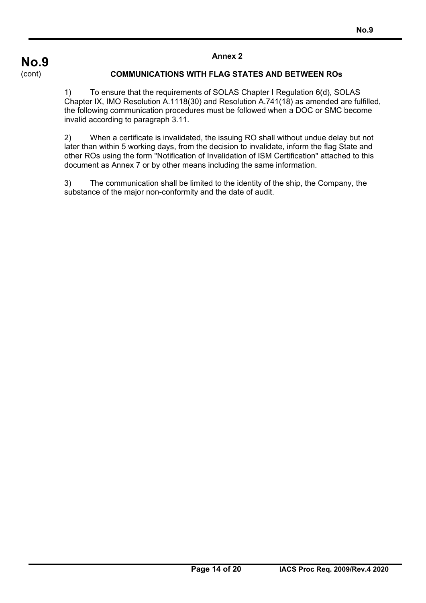## **COMMUNICATIONS WITH FLAG STATES AND BETWEEN ROs**

1) To ensure that the requirements of SOLAS Chapter I Regulation 6(d), SOLAS Chapter IX, IMO Resolution A.1118(30) and Resolution A.741(18) as amended are fulfilled, the following communication procedures must be followed when a DOC or SMC become invalid according to paragraph 3.11.

2) When a certificate is invalidated, the issuing RO shall without undue delay but not later than within 5 working days, from the decision to invalidate, inform the flag State and other ROs using the form "Notification of Invalidation of ISM Certification" attached to this document as Annex 7 or by other means including the same information.

3) The communication shall be limited to the identity of the ship, the Company, the substance of the major non-conformity and the date of audit.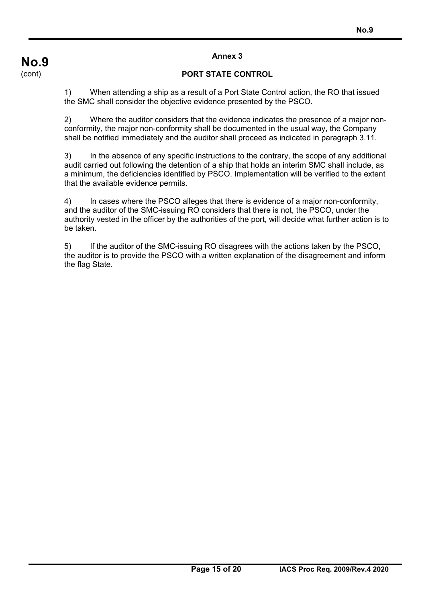## **PORT STATE CONTROL**

1) When attending a ship as a result of a Port State Control action, the RO that issued the SMC shall consider the objective evidence presented by the PSCO.

2) Where the auditor considers that the evidence indicates the presence of a major nonconformity, the major non-conformity shall be documented in the usual way, the Company shall be notified immediately and the auditor shall proceed as indicated in paragraph 3.11.

3) In the absence of any specific instructions to the contrary, the scope of any additional audit carried out following the detention of a ship that holds an interim SMC shall include, as a minimum, the deficiencies identified by PSCO. Implementation will be verified to the extent that the available evidence permits.

4) In cases where the PSCO alleges that there is evidence of a major non-conformity, and the auditor of the SMC-issuing RO considers that there is not, the PSCO, under the authority vested in the officer by the authorities of the port, will decide what further action is to be taken.

5) If the auditor of the SMC-issuing RO disagrees with the actions taken by the PSCO, the auditor is to provide the PSCO with a written explanation of the disagreement and inform the flag State.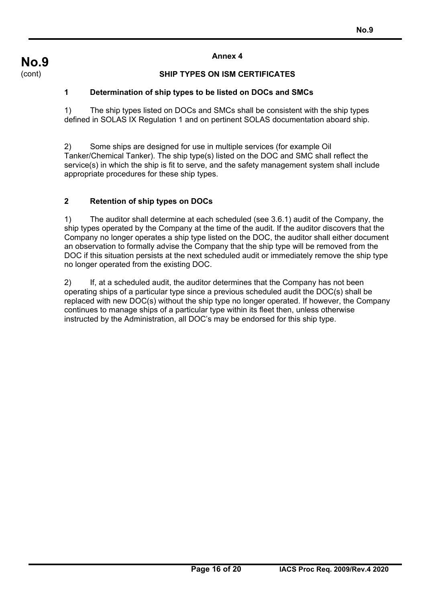## **SHIP TYPES ON ISM CERTIFICATES**

## **1 Determination of ship types to be listed on DOCs and SMCs**

1) The ship types listed on DOCs and SMCs shall be consistent with the ship types defined in SOLAS IX Regulation 1 and on pertinent SOLAS documentation aboard ship.

2) Some ships are designed for use in multiple services (for example Oil Tanker/Chemical Tanker). The ship type(s) listed on the DOC and SMC shall reflect the service(s) in which the ship is fit to serve, and the safety management system shall include appropriate procedures for these ship types.

## **2 Retention of ship types on DOCs**

1) The auditor shall determine at each scheduled (see 3.6.1) audit of the Company, the ship types operated by the Company at the time of the audit. If the auditor discovers that the Company no longer operates a ship type listed on the DOC, the auditor shall either document an observation to formally advise the Company that the ship type will be removed from the DOC if this situation persists at the next scheduled audit or immediately remove the ship type no longer operated from the existing DOC.

2) If, at a scheduled audit, the auditor determines that the Company has not been operating ships of a particular type since a previous scheduled audit the DOC(s) shall be replaced with new DOC(s) without the ship type no longer operated. If however, the Company continues to manage ships of a particular type within its fleet then, unless otherwise instructed by the Administration, all DOC's may be endorsed for this ship type.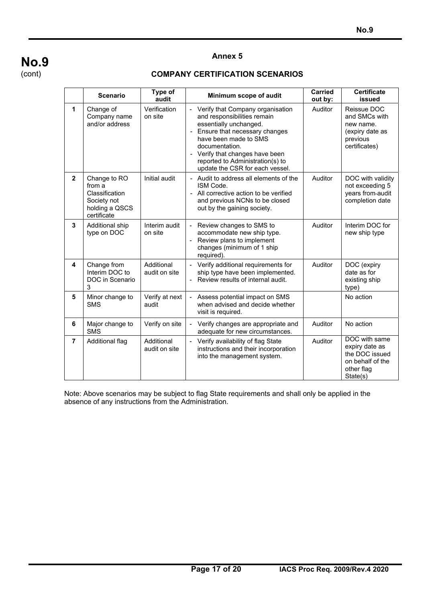#### **COMPANY CERTIFICATION SCENARIOS**

|                | <b>Scenario</b>                                                                          | Type of<br>audit            | Minimum scope of audit                                                                                                                                                                                                                                                                                        | <b>Carried</b><br>out by: | <b>Certificate</b><br>issued                                                                    |  |
|----------------|------------------------------------------------------------------------------------------|-----------------------------|---------------------------------------------------------------------------------------------------------------------------------------------------------------------------------------------------------------------------------------------------------------------------------------------------------------|---------------------------|-------------------------------------------------------------------------------------------------|--|
| 1              | Change of<br>Company name<br>and/or address                                              | Verification<br>on site     | Verify that Company organisation<br>$\overline{\phantom{a}}$<br>and responsibilities remain<br>essentially unchanged.<br>- Ensure that necessary changes<br>have been made to SMS<br>documentation.<br>- Verify that changes have been<br>reported to Administration(s) to<br>update the CSR for each vessel. | Auditor                   | Reissue DOC<br>and SMCs with<br>new name.<br>(expiry date as<br>previous<br>certificates)       |  |
| $\overline{2}$ | Change to RO<br>from a<br>Classification<br>Society not<br>holding a QSCS<br>certificate | Initial audit               | - Audit to address all elements of the<br>ISM Code.<br>- All corrective action to be verified<br>and previous NCNs to be closed<br>out by the gaining society.                                                                                                                                                | Auditor                   | DOC with validity<br>not exceeding 5<br>years from audit<br>completion date                     |  |
| 3              | Additional ship<br>type on DOC                                                           | Interim audit<br>on site    | Review changes to SMS to<br>$\blacksquare$<br>accommodate new ship type.<br>Review plans to implement<br>$\frac{1}{2}$<br>changes (minimum of 1 ship<br>required).                                                                                                                                            | Auditor                   | Interim DOC for<br>new ship type                                                                |  |
| 4              | Change from<br>Interim DOC to<br>DOC in Scenario<br>3                                    | Additional<br>audit on site | Verify additional requirements for<br>$\frac{1}{2}$<br>ship type have been implemented.<br>Review results of internal audit.                                                                                                                                                                                  | Auditor                   | DOC (expiry<br>date as for<br>existing ship<br>type)                                            |  |
| 5              | Minor change to<br><b>SMS</b>                                                            | Verify at next<br>audit     | Assess potential impact on SMS<br>when advised and decide whether<br>visit is required.                                                                                                                                                                                                                       |                           | No action                                                                                       |  |
| 6              | Major change to<br><b>SMS</b>                                                            | Verify on site              | Verify changes are appropriate and<br>$\overline{\phantom{a}}$<br>adequate for new circumstances.                                                                                                                                                                                                             | Auditor                   | No action                                                                                       |  |
| $\overline{7}$ | Additional flag                                                                          | Additional<br>audit on site | Verify availability of flag State<br>$\overline{\phantom{a}}$<br>instructions and their incorporation<br>into the management system.                                                                                                                                                                          | Auditor                   | DOC with same<br>expiry date as<br>the DOC issued<br>on behalf of the<br>other flag<br>State(s) |  |

Note: Above scenarios may be subject to flag State requirements and shall only be applied in the absence of any instructions from the Administration.

# **No.9**  (cont)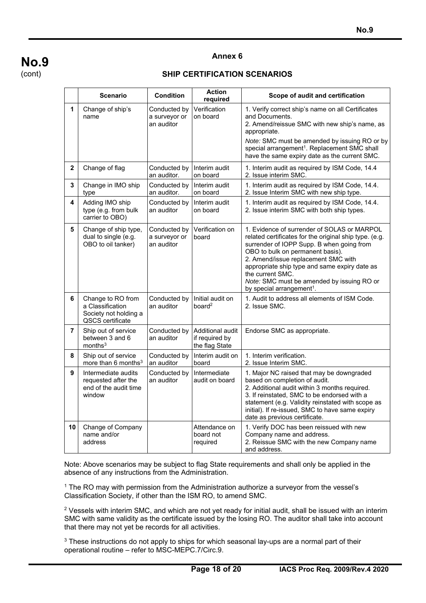# **No.9**  (cont)

### **Annex 6**

## **SHIP CERTIFICATION SCENARIOS**

|                | <b>Scenario</b>                                                                    | <b>Condition</b>                            | <b>Action</b><br>required                            | Scope of audit and certification                                                                                                                                                                                                                                                                                                                                                          |
|----------------|------------------------------------------------------------------------------------|---------------------------------------------|------------------------------------------------------|-------------------------------------------------------------------------------------------------------------------------------------------------------------------------------------------------------------------------------------------------------------------------------------------------------------------------------------------------------------------------------------------|
| 1              | Change of ship's<br>name                                                           | Conducted by<br>a surveyor or<br>an auditor | Verification<br>on board                             | 1. Verify correct ship's name on all Certificates<br>and Documents.<br>2. Amend/reissue SMC with new ship's name, as<br>appropriate.<br>Note: SMC must be amended by issuing RO or by<br>special arrangement <sup>1</sup> . Replacement SMC shall<br>have the same expiry date as the current SMC.                                                                                        |
| $\overline{2}$ | Change of flag                                                                     | Conducted by<br>an auditor.                 | Interim audit<br>on board                            | 1. Interim audit as required by ISM Code, 14.4<br>2. Issue interim SMC.                                                                                                                                                                                                                                                                                                                   |
| 3              | Change in IMO ship<br>type                                                         | Conducted by<br>an auditor.                 | Interim audit<br>on board                            | 1. Interim audit as required by ISM Code, 14.4.<br>2. Issue Interim SMC with new ship type.                                                                                                                                                                                                                                                                                               |
| 4              | Adding IMO ship<br>type (e.g. from bulk<br>carrier to OBO)                         | Conducted by<br>an auditor                  | Interim audit<br>on board                            | 1. Interim audit as required by ISM Code, 14.4.<br>2. Issue interim SMC with both ship types.                                                                                                                                                                                                                                                                                             |
| 5              | Change of ship type,<br>dual to single (e.g.<br>OBO to oil tanker)                 | Conducted by<br>a surveyor or<br>an auditor | Verification on<br>board                             | 1. Evidence of surrender of SOLAS or MARPOL<br>related certificates for the original ship type. (e.g.<br>surrender of IOPP Supp. B when going from<br>OBO to bulk on permanent basis).<br>2. Amend/issue replacement SMC with<br>appropriate ship type and same expiry date as<br>the current SMC.<br>Note: SMC must be amended by issuing RO or<br>by special arrangement <sup>1</sup> . |
| 6              | Change to RO from<br>a Classification<br>Society not holding a<br>QSCS certificate | Conducted by<br>an auditor                  | Initial audit on<br>board $2$                        | 1. Audit to address all elements of ISM Code.<br>2. Issue SMC.                                                                                                                                                                                                                                                                                                                            |
| 7              | Ship out of service<br>between 3 and 6<br>months <sup>3</sup>                      | Conducted by<br>an auditor                  | Additional audit<br>if required by<br>the flag State | Endorse SMC as appropriate.                                                                                                                                                                                                                                                                                                                                                               |
| 8              | Ship out of service<br>more than 6 months $3$                                      | Conducted by<br>an auditor                  | Interim audit on<br>board                            | 1. Interim verification.<br>2. Issue Interim SMC.                                                                                                                                                                                                                                                                                                                                         |
| 9              | Intermediate audits<br>requested after the<br>end of the audit time<br>window      | Conducted by<br>an auditor                  | Intermediate<br>audit on board                       | 1. Major NC raised that may be downgraded<br>based on completion of audit.<br>2. Additional audit within 3 months required.<br>3. If reinstated, SMC to be endorsed with a<br>statement (e.g. Validity reinstated with scope as<br>initial). If re-issued, SMC to have same expiry<br>date as previous certificate.                                                                       |
| 10             | Change of Company<br>name and/or<br>address                                        |                                             | Attendance on<br>board not<br>required               | 1. Verify DOC has been reissued with new<br>Company name and address.<br>2. Reissue SMC with the new Company name<br>and address.                                                                                                                                                                                                                                                         |

Note: Above scenarios may be subject to flag State requirements and shall only be applied in the absence of any instructions from the Administration.

<sup>1</sup> The RO may with permission from the Administration authorize a surveyor from the vessel's Classification Society, if other than the ISM RO, to amend SMC.

 $2$  Vessels with interim SMC, and which are not yet ready for initial audit, shall be issued with an interim SMC with same validity as the certificate issued by the losing RO. The auditor shall take into account that there may not yet be records for all activities.

<sup>3</sup> These instructions do not apply to ships for which seasonal lay-ups are a normal part of their operational routine – refer to MSC-MEPC.7/Circ.9.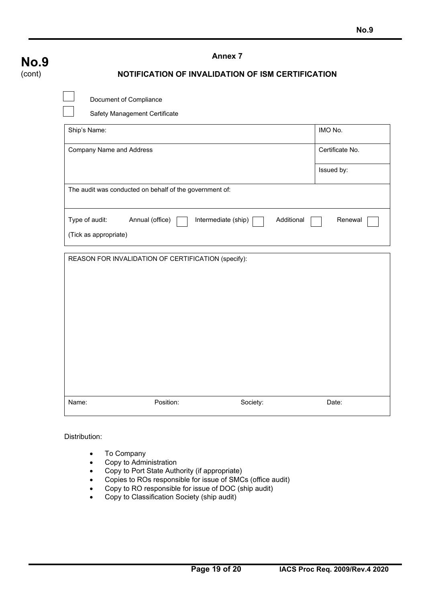| <b>No.9</b> | <b>Annex 7</b>                                                                                             |                                                     |          |                 |  |  |  |  |  |
|-------------|------------------------------------------------------------------------------------------------------------|-----------------------------------------------------|----------|-----------------|--|--|--|--|--|
| (cont)      | NOTIFICATION OF INVALIDATION OF ISM CERTIFICATION                                                          |                                                     |          |                 |  |  |  |  |  |
|             | Document of Compliance<br>Safety Management Certificate                                                    |                                                     |          |                 |  |  |  |  |  |
|             | Ship's Name:                                                                                               |                                                     |          | IMO No.         |  |  |  |  |  |
|             | <b>Company Name and Address</b>                                                                            |                                                     |          | Certificate No. |  |  |  |  |  |
|             |                                                                                                            |                                                     |          | Issued by:      |  |  |  |  |  |
|             | The audit was conducted on behalf of the government of:                                                    |                                                     |          |                 |  |  |  |  |  |
|             | Type of audit:<br>Annual (office)<br>Intermediate (ship)<br>Additional<br>Renewal<br>(Tick as appropriate) |                                                     |          |                 |  |  |  |  |  |
|             |                                                                                                            | REASON FOR INVALIDATION OF CERTIFICATION (specify): |          |                 |  |  |  |  |  |
|             | Name:                                                                                                      | Position:                                           | Society: | Date:           |  |  |  |  |  |

Distribution:

- To Company
- Copy to Administration
- Copy to Port State Authority (if appropriate)
- Copies to ROs responsible for issue of SMCs (office audit)
- Copy to RO responsible for issue of DOC (ship audit)
- Copy to Classification Society (ship audit)